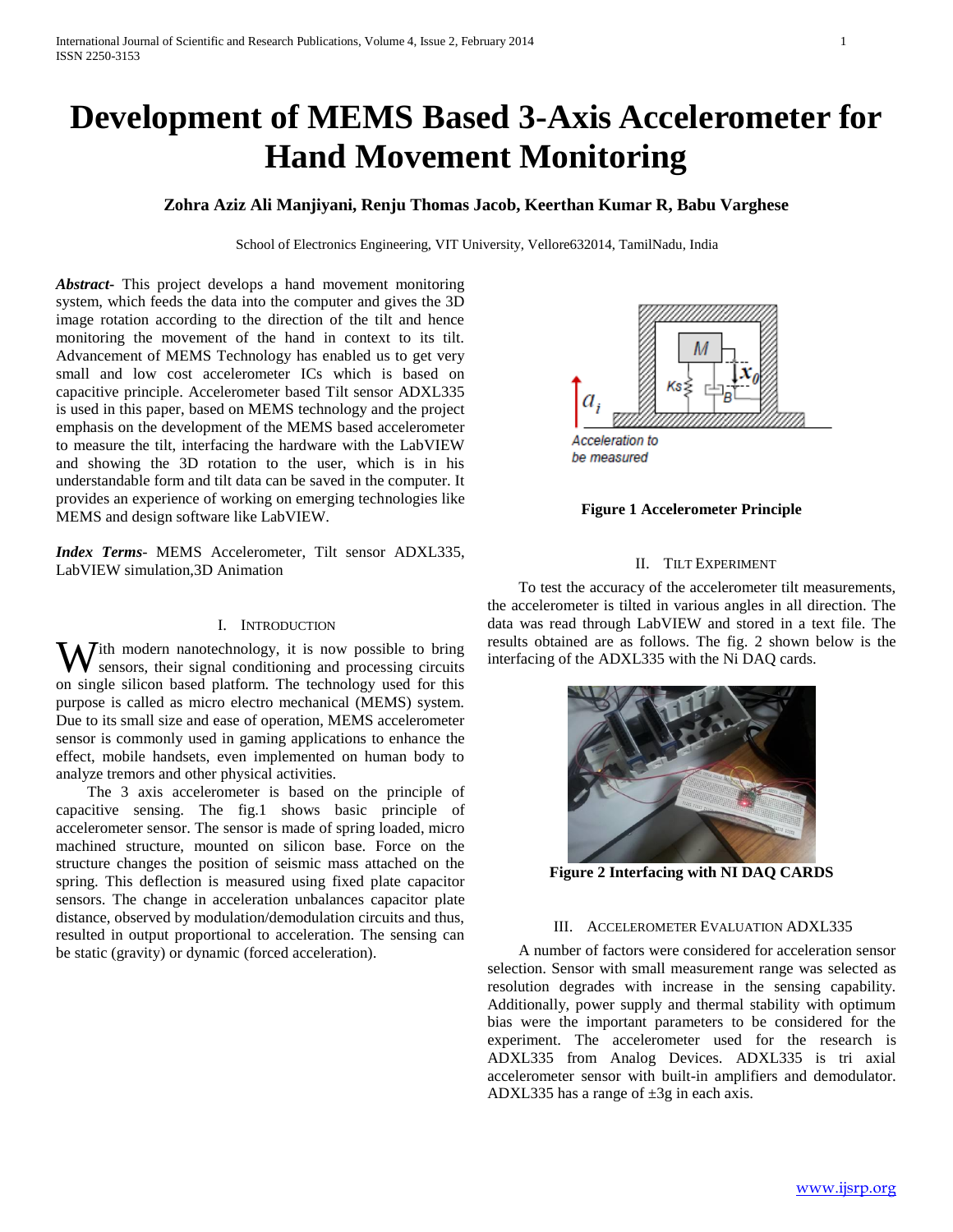# **Development of MEMS Based 3-Axis Accelerometer for Hand Movement Monitoring**

# **Zohra Aziz Ali Manjiyani, Renju Thomas Jacob, Keerthan Kumar R, Babu Varghese**

School of Electronics Engineering, VIT University, Vellore632014, TamilNadu, India

*Abstract***-** This project develops a hand movement monitoring system, which feeds the data into the computer and gives the 3D image rotation according to the direction of the tilt and hence monitoring the movement of the hand in context to its tilt. Advancement of MEMS Technology has enabled us to get very small and low cost accelerometer ICs which is based on capacitive principle. Accelerometer based Tilt sensor ADXL335 is used in this paper, based on MEMS technology and the project emphasis on the development of the MEMS based accelerometer to measure the tilt, interfacing the hardware with the LabVIEW and showing the 3D rotation to the user, which is in his understandable form and tilt data can be saved in the computer. It provides an experience of working on emerging technologies like MEMS and design software like LabVIEW.

*Index Terms*- MEMS Accelerometer, Tilt sensor ADXL335, LabVIEW simulation,3D Animation

# I. INTRODUCTION

With modern nanotechnology, it is now possible to bring<br>sensors, their signal conditioning and processing circuits sensors, their signal conditioning and processing circuits on single silicon based platform. The technology used for this purpose is called as micro electro mechanical (MEMS) system. Due to its small size and ease of operation, MEMS accelerometer sensor is commonly used in gaming applications to enhance the effect, mobile handsets, even implemented on human body to analyze tremors and other physical activities.

 The 3 axis accelerometer is based on the principle of capacitive sensing. The fig.1 shows basic principle of accelerometer sensor. The sensor is made of spring loaded, micro machined structure, mounted on silicon base. Force on the structure changes the position of seismic mass attached on the spring. This deflection is measured using fixed plate capacitor sensors. The change in acceleration unbalances capacitor plate distance, observed by modulation/demodulation circuits and thus, resulted in output proportional to acceleration. The sensing can be static (gravity) or dynamic (forced acceleration).



#### **Figure 1 Accelerometer Principle**

# II. TILT EXPERIMENT

 To test the accuracy of the accelerometer tilt measurements, the accelerometer is tilted in various angles in all direction. The data was read through LabVIEW and stored in a text file. The results obtained are as follows. The fig. 2 shown below is the interfacing of the ADXL335 with the Ni DAQ cards.



**Figure 2 Interfacing with NI DAQ CARDS**

#### III. ACCELEROMETER EVALUATION ADXL335

 A number of factors were considered for acceleration sensor selection. Sensor with small measurement range was selected as resolution degrades with increase in the sensing capability. Additionally, power supply and thermal stability with optimum bias were the important parameters to be considered for the experiment. The accelerometer used for the research is ADXL335 from Analog Devices. ADXL335 is tri axial accelerometer sensor with built-in amplifiers and demodulator. ADXL335 has a range of  $\pm 3g$  in each axis.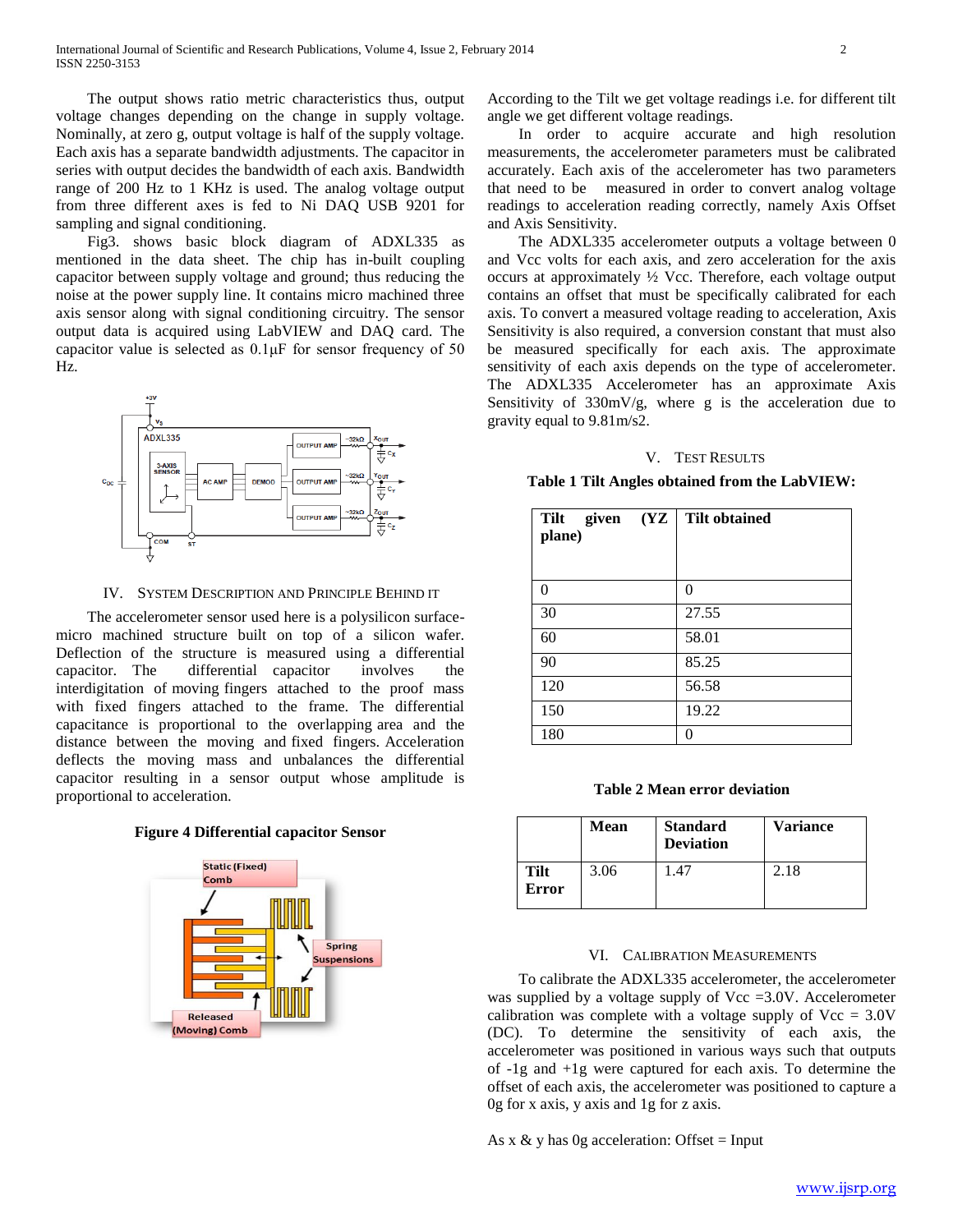The output shows ratio metric characteristics thus, output voltage changes depending on the change in supply voltage. Nominally, at zero g, output voltage is half of the supply voltage. Each axis has a separate bandwidth adjustments. The capacitor in series with output decides the bandwidth of each axis. Bandwidth range of 200 Hz to 1 KHz is used. The analog voltage output from three different axes is fed to Ni DAQ USB 9201 for sampling and signal conditioning.

 Fig3. shows basic block diagram of ADXL335 as mentioned in the data sheet. The chip has in-built coupling capacitor between supply voltage and ground; thus reducing the noise at the power supply line. It contains micro machined three axis sensor along with signal conditioning circuitry. The sensor output data is acquired using LabVIEW and DAQ card. The capacitor value is selected as 0.1μF for sensor frequency of 50 Hz.



IV. SYSTEM DESCRIPTION AND PRINCIPLE BEHIND IT

 The accelerometer sensor used here is a polysilicon surfacemicro machined structure built on top of a silicon wafer. Deflection of the structure is measured using a differential capacitor. The differential capacitor involves the interdigitation of moving fingers attached to the proof mass with fixed fingers attached to the frame. The differential capacitance is proportional to the overlapping area and the distance between the moving and fixed fingers. Acceleration deflects the moving mass and unbalances the differential capacitor resulting in a sensor output whose amplitude is proportional to acceleration.

**Figure 4 Differential capacitor Sensor**



According to the Tilt we get voltage readings i.e. for different tilt angle we get different voltage readings.

 In order to acquire accurate and high resolution measurements, the accelerometer parameters must be calibrated accurately. Each axis of the accelerometer has two parameters that need to be measured in order to convert analog voltage readings to acceleration reading correctly, namely Axis Offset and Axis Sensitivity.

 The ADXL335 accelerometer outputs a voltage between 0 and Vcc volts for each axis, and zero acceleration for the axis occurs at approximately ½ Vcc. Therefore, each voltage output contains an offset that must be specifically calibrated for each axis. To convert a measured voltage reading to acceleration, Axis Sensitivity is also required, a conversion constant that must also be measured specifically for each axis. The approximate sensitivity of each axis depends on the type of accelerometer. The ADXL335 Accelerometer has an approximate Axis Sensitivity of 330mV/g, where g is the acceleration due to gravity equal to 9.81m/s2.

# V. TEST RESULTS

**Table 1 Tilt Angles obtained from the LabVIEW:**

| (YZ)<br>Tilt<br>given<br>plane) | <b>Tilt obtained</b> |
|---------------------------------|----------------------|
| 0                               | 0                    |
| 30                              | 27.55                |
| 60                              | 58.01                |
| 90                              | 85.25                |
| 120                             | 56.58                |
| 150                             | 19.22                |
| 180                             | 0                    |

**Table 2 Mean error deviation**

|               | Mean | <b>Standard</b><br><b>Deviation</b> | <b>Variance</b> |
|---------------|------|-------------------------------------|-----------------|
| Tilt<br>Error | 3.06 | 147                                 | 2.18            |

#### VI. CALIBRATION MEASUREMENTS

 To calibrate the ADXL335 accelerometer, the accelerometer was supplied by a voltage supply of  $Vec = 3.0V$ . Accelerometer calibration was complete with a voltage supply of  $Vec = 3.0V$ (DC). To determine the sensitivity of each axis, the accelerometer was positioned in various ways such that outputs of -1g and +1g were captured for each axis. To determine the offset of each axis, the accelerometer was positioned to capture a 0g for x axis, y axis and 1g for z axis.

As x  $\&$  y has 0g acceleration: Offset = Input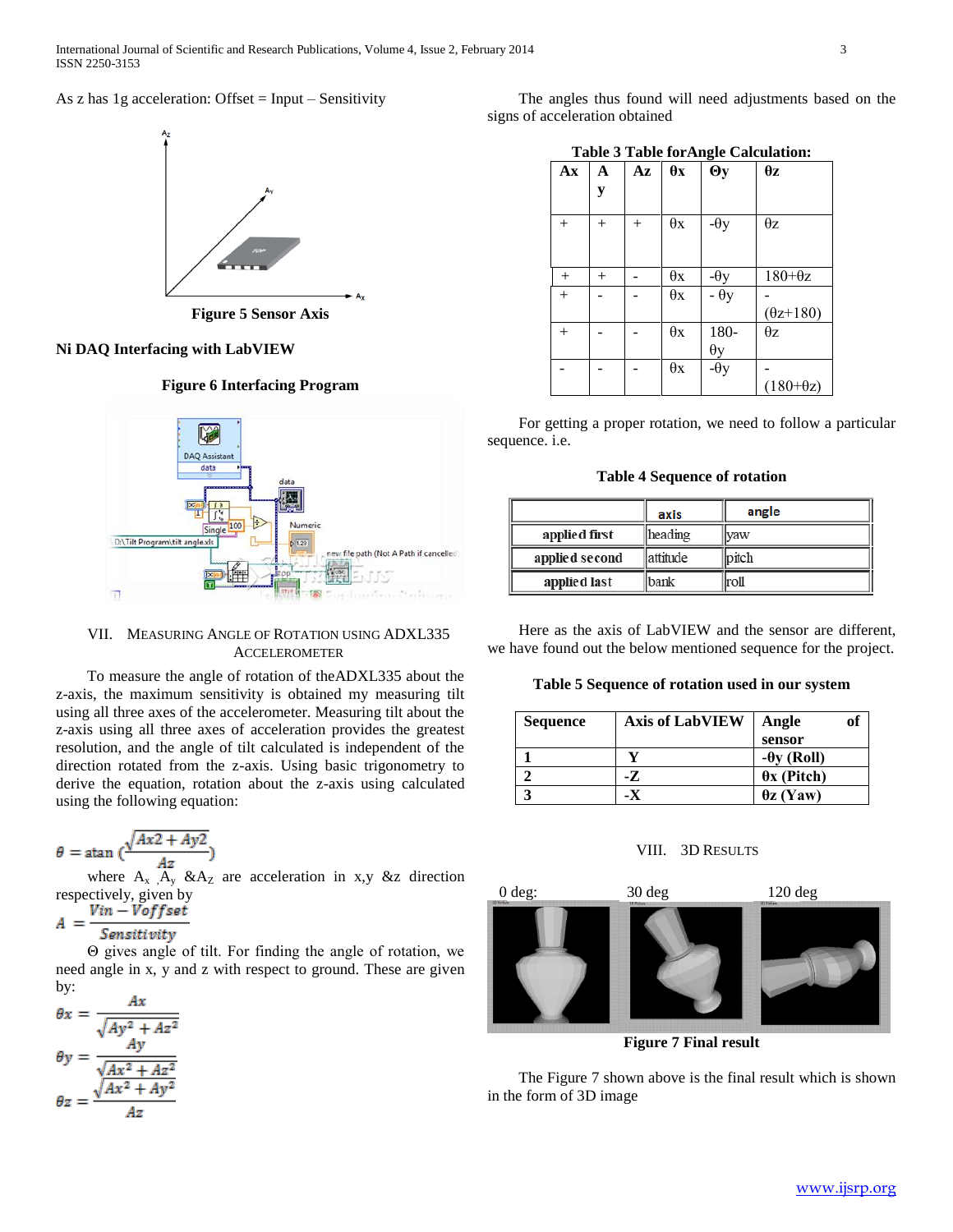# As z has  $1g$  acceleration: Offset = Input – Sensitivity



**Figure 5 Sensor Axis**

# **Ni DAQ Interfacing with LabVIEW**

# **Figure 6 Interfacing Program**



# VII. MEASURING ANGLE OF ROTATION USING ADXL335 **ACCELEROMETER**

 To measure the angle of rotation of theADXL335 about the z-axis, the maximum sensitivity is obtained my measuring tilt using all three axes of the accelerometer. Measuring tilt about the z-axis using all three axes of acceleration provides the greatest resolution, and the angle of tilt calculated is independent of the direction rotated from the z-axis. Using basic trigonometry to derive the equation, rotation about the z-axis using calculated using the following equation:

$$
\theta = \operatorname{atan} \big( \frac{\sqrt{Ax^2 + Ay^2}}{Az} \big)
$$

where  $A_x$ ,  $A_y$ ,  $\&A_z$  are acceleration in x,y &z direction respectively, given by

$$
A = \frac{Vin - Voffset}{Sensitivity}
$$

 Θ gives angle of tilt. For finding the angle of rotation, we need angle in x, y and z with respect to ground. These are given by:

$$
\theta x = \frac{Ax}{\sqrt{Ay^2 + Az^2}}
$$

$$
\theta y = \frac{Ay}{\sqrt{Ax^2 + Az^2}}
$$

$$
\theta z = \frac{\sqrt{Ax^2 + Ay^2}}{Az}
$$

 The angles thus found will need adjustments based on the signs of acceleration obtained

|  |  |  | <b>Table 3 Table for Angle Calculation:</b> |
|--|--|--|---------------------------------------------|
|--|--|--|---------------------------------------------|

|                        |        |     |            | 0            |                                 |
|------------------------|--------|-----|------------|--------------|---------------------------------|
| $\mathbf{A}\mathbf{x}$ | A      | Az  | $\theta x$ | $\Theta$ y   | $\pmb{\theta} \pmb{\textbf{z}}$ |
|                        | y      |     |            |              |                                 |
|                        |        |     |            |              |                                 |
|                        |        |     |            |              |                                 |
| $+$                    | $+$    | $+$ | $\theta$ x | $-\theta y$  | $\theta z$                      |
|                        |        |     |            |              |                                 |
|                        |        |     |            |              |                                 |
|                        |        |     |            |              |                                 |
| $^{+}$                 | $^{+}$ |     | $\theta x$ | $-\theta y$  | $180 + \theta z$                |
|                        |        |     |            |              |                                 |
| $^{+}$                 |        |     | $\theta$ x | $- \theta y$ |                                 |
|                        |        |     |            |              | $(\theta z + 180)$              |
| $+$                    |        |     | $\theta$ x | 180-         | $\theta$ z                      |
|                        |        |     |            | $\theta$ y   |                                 |
|                        |        |     | $\theta$ x | $-\theta y$  |                                 |
|                        |        |     |            |              | $(180+\theta z)$                |
|                        |        |     |            |              |                                 |

 For getting a proper rotation, we need to follow a particular sequence. i.e.

**Table 4 Sequence of rotation**

|                | axis      | angle         |
|----------------|-----------|---------------|
| applied first  | heading   | <b>Ivaw</b>   |
| applied second | lattitude | <b></b> pitch |
| applied last   | bank      | lroll         |

 Here as the axis of LabVIEW and the sensor are different, we have found out the below mentioned sequence for the project.

### **Table 5 Sequence of rotation used in our system**

| <b>Sequence</b> | <b>Axis of LabVIEW</b> | Angle              | of |
|-----------------|------------------------|--------------------|----|
|                 |                        | sensor             |    |
|                 |                        | $-\theta y$ (Roll) |    |
|                 |                        | $\theta$ x (Pitch) |    |
|                 |                        | $\theta$ z (Yaw)   |    |

# VIII. 3D RESULTS



**Figure 7 Final result**

 The Figure 7 shown above is the final result which is shown in the form of 3D image